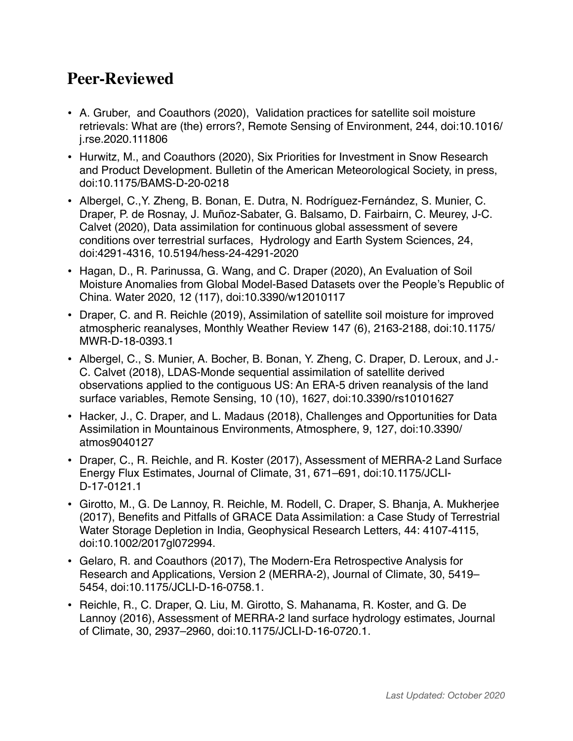## **Peer-Reviewed**

- A. Gruber, and Coauthors (2020), Validation practices for satellite soil moisture retrievals: What are (the) errors?, Remote Sensing of Environment, 244, doi:10.1016/ j.rse.2020.111806
- Hurwitz, M., and Coauthors (2020), Six Priorities for Investment in Snow Research and Product Development. Bulletin of the American Meteorological Society, in press, doi:10.1175/BAMS-D-20-0218
- Albergel, C.,Y. Zheng, B. Bonan, E. Dutra, N. Rodríguez-Fernández, S. Munier, C. Draper, P. de Rosnay, J. Muñoz-Sabater, G. Balsamo, D. Fairbairn, C. Meurey, J-C. Calvet (2020), Data assimilation for continuous global assessment of severe conditions over terrestrial surfaces, Hydrology and Earth System Sciences, 24, doi:4291-4316, 10.5194/hess-24-4291-2020
- Hagan, D., R. Parinussa, G. Wang, and C. Draper (2020), An Evaluation of Soil Moisture Anomalies from Global Model-Based Datasets over the People's Republic of China. Water 2020, 12 (117), doi:10.3390/w12010117
- Draper, C. and R. Reichle (2019), Assimilation of satellite soil moisture for improved atmospheric reanalyses, Monthly Weather Review 147 (6), 2163-2188, doi:10.1175/ MWR-D-18-0393.1
- Albergel, C., S. Munier, A. Bocher, B. Bonan, Y. Zheng, C. Draper, D. Leroux, and J.- C. Calvet (2018), LDAS-Monde sequential assimilation of satellite derived observations applied to the contiguous US: An ERA-5 driven reanalysis of the land surface variables, Remote Sensing, 10 (10), 1627, doi:10.3390/rs10101627
- Hacker, J., C. Draper, and L. Madaus (2018), Challenges and Opportunities for Data Assimilation in Mountainous Environments, Atmosphere, 9, 127, doi:10.3390/ atmos9040127
- Draper, C., R. Reichle, and R. Koster (2017), Assessment of MERRA-2 Land Surface Energy Flux Estimates, Journal of Climate, 31, 671–691, doi:10.1175/JCLI-D-17-0121.1
- Girotto, M., G. De Lannoy, R. Reichle, M. Rodell, C. Draper, S. Bhanja, A. Mukherjee (2017), Benefits and Pitfalls of GRACE Data Assimilation: a Case Study of Terrestrial Water Storage Depletion in India, Geophysical Research Letters, 44: 4107-4115, doi:10.1002/2017gl072994.
- Gelaro, R. and Coauthors (2017), The Modern-Era Retrospective Analysis for Research and Applications, Version 2 (MERRA-2), Journal of Climate, 30, 5419– 5454, doi:10.1175/JCLI-D-16-0758.1.
- Reichle, R., C. Draper, Q. Liu, M. Girotto, S. Mahanama, R. Koster, and G. De Lannoy (2016), Assessment of MERRA-2 land surface hydrology estimates, Journal of Climate, 30, 2937–2960, doi:10.1175/JCLI-D-16-0720.1.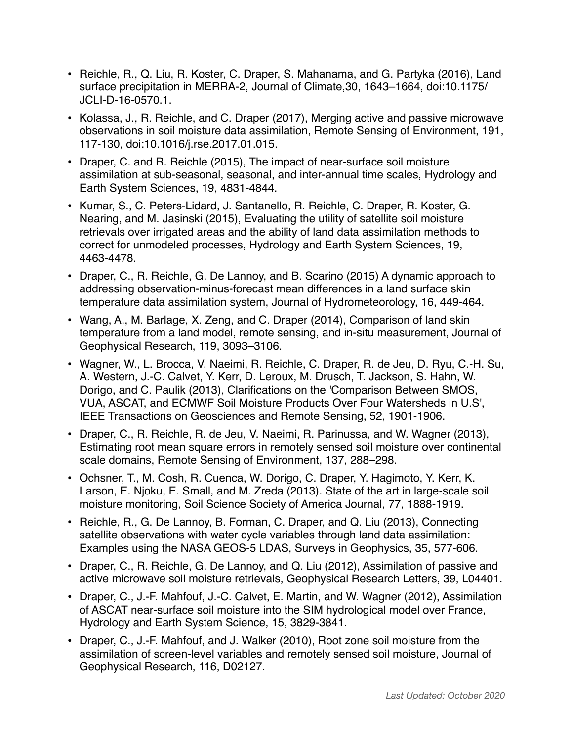- Reichle, R., Q. Liu, R. Koster, C. Draper, S. Mahanama, and G. Partyka (2016), Land surface precipitation in MERRA-2, Journal of Climate,30, 1643–1664, doi:10.1175/ JCLI-D-16-0570.1.
- Kolassa, J., R. Reichle, and C. Draper (2017), Merging active and passive microwave observations in soil moisture data assimilation, Remote Sensing of Environment, 191, 117-130, doi:10.1016/j.rse.2017.01.015.
- Draper, C. and R. Reichle (2015), The impact of near-surface soil moisture assimilation at sub-seasonal, seasonal, and inter-annual time scales, Hydrology and Earth System Sciences, 19, 4831-4844.
- Kumar, S., C. Peters-Lidard, J. Santanello, R. Reichle, C. Draper, R. Koster, G. Nearing, and M. Jasinski (2015), Evaluating the utility of satellite soil moisture retrievals over irrigated areas and the ability of land data assimilation methods to correct for unmodeled processes, Hydrology and Earth System Sciences, 19, 4463-4478.
- Draper, C., R. Reichle, G. De Lannoy, and B. Scarino (2015) A dynamic approach to addressing observation-minus-forecast mean differences in a land surface skin temperature data assimilation system, Journal of Hydrometeorology, 16, 449-464.
- Wang, A., M. Barlage, X. Zeng, and C. Draper (2014), Comparison of land skin temperature from a land model, remote sensing, and in-situ measurement, Journal of Geophysical Research, 119, 3093–3106.
- Wagner, W., L. Brocca, V. Naeimi, R. Reichle, C. Draper, R. de Jeu, D. Ryu, C.-H. Su, A. Western, J.-C. Calvet, Y. Kerr, D. Leroux, M. Drusch, T. Jackson, S. Hahn, W. Dorigo, and C. Paulik (2013), Clarifications on the 'Comparison Between SMOS, VUA, ASCAT, and ECMWF Soil Moisture Products Over Four Watersheds in U.S', IEEE Transactions on Geosciences and Remote Sensing, 52, 1901-1906.
- Draper, C., R. Reichle, R. de Jeu, V. Naeimi, R. Parinussa, and W. Wagner (2013), Estimating root mean square errors in remotely sensed soil moisture over continental scale domains, Remote Sensing of Environment, 137, 288–298.
- Ochsner, T., M. Cosh, R. Cuenca, W. Dorigo, C. Draper, Y. Hagimoto, Y. Kerr, K. Larson, E. Njoku, E. Small, and M. Zreda (2013). State of the art in large-scale soil moisture monitoring, Soil Science Society of America Journal, 77, 1888-1919.
- Reichle, R., G. De Lannoy, B. Forman, C. Draper, and Q. Liu (2013), Connecting satellite observations with water cycle variables through land data assimilation: Examples using the NASA GEOS-5 LDAS, Surveys in Geophysics, 35, 577-606.
- Draper, C., R. Reichle, G. De Lannoy, and Q. Liu (2012), Assimilation of passive and active microwave soil moisture retrievals, Geophysical Research Letters, 39, L04401.
- Draper, C., J.-F. Mahfouf, J.-C. Calvet, E. Martin, and W. Wagner (2012), Assimilation of ASCAT near-surface soil moisture into the SIM hydrological model over France, Hydrology and Earth System Science, 15, 3829-3841.
- Draper, C., J.-F. Mahfouf, and J. Walker (2010), Root zone soil moisture from the assimilation of screen-level variables and remotely sensed soil moisture, Journal of Geophysical Research, 116, D02127.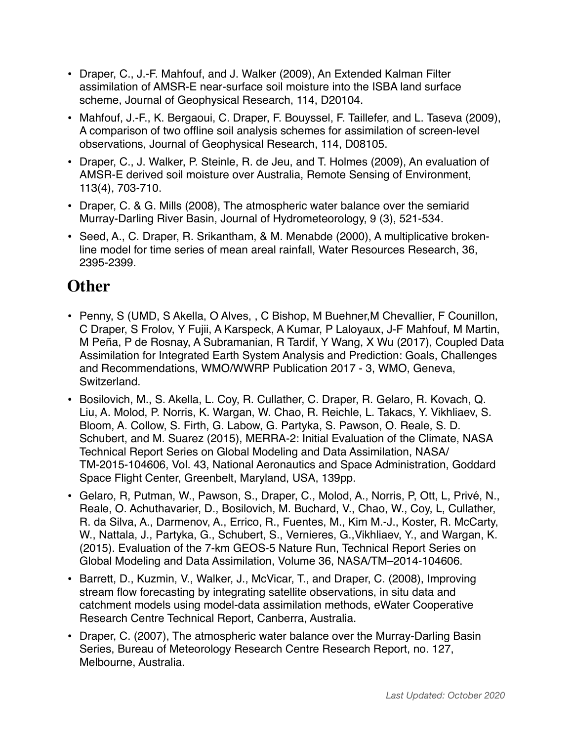- Draper, C., J.-F. Mahfouf, and J. Walker (2009), An Extended Kalman Filter assimilation of AMSR-E near-surface soil moisture into the ISBA land surface scheme, Journal of Geophysical Research, 114, D20104.
- Mahfouf, J.-F., K. Bergaoui, C. Draper, F. Bouyssel, F. Taillefer, and L. Taseva (2009), A comparison of two offline soil analysis schemes for assimilation of screen-level observations, Journal of Geophysical Research, 114, D08105.
- Draper, C., J. Walker, P. Steinle, R. de Jeu, and T. Holmes (2009), An evaluation of AMSR-E derived soil moisture over Australia, Remote Sensing of Environment, 113(4), 703-710.
- Draper, C. & G. Mills (2008), The atmospheric water balance over the semiarid Murray-Darling River Basin, Journal of Hydrometeorology, 9 (3), 521-534.
- Seed, A., C. Draper, R. Srikantham, & M. Menabde (2000), A multiplicative brokenline model for time series of mean areal rainfall, Water Resources Research, 36, 2395-2399.

## **Other**

- Penny, S (UMD, S Akella, O Alves, , C Bishop, M Buehner,M Chevallier, F Counillon, C Draper, S Frolov, Y Fujii, A Karspeck, A Kumar, P Laloyaux, J-F Mahfouf, M Martin, M Peña, P de Rosnay, A Subramanian, R Tardif, Y Wang, X Wu (2017), Coupled Data Assimilation for Integrated Earth System Analysis and Prediction: Goals, Challenges and Recommendations, WMO/WWRP Publication 2017 - 3, WMO, Geneva, Switzerland.
- Bosilovich, M., S. Akella, L. Coy, R. Cullather, C. Draper, R. Gelaro, R. Kovach, Q. Liu, A. Molod, P. Norris, K. Wargan, W. Chao, R. Reichle, L. Takacs, Y. Vikhliaev, S. Bloom, A. Collow, S. Firth, G. Labow, G. Partyka, S. Pawson, O. Reale, S. D. Schubert, and M. Suarez (2015), MERRA-2: Initial Evaluation of the Climate, NASA Technical Report Series on Global Modeling and Data Assimilation, NASA/ TM-2015-104606, Vol. 43, National Aeronautics and Space Administration, Goddard Space Flight Center, Greenbelt, Maryland, USA, 139pp.
- Gelaro, R, Putman, W., Pawson, S., Draper, C., Molod, A., Norris, P, Ott, L, Privé, N., Reale, O. Achuthavarier, D., Bosilovich, M. Buchard, V., Chao, W., Coy, L, Cullather, R. da Silva, A., Darmenov, A., Errico, R., Fuentes, M., Kim M.-J., Koster, R. McCarty, W., Nattala, J., Partyka, G., Schubert, S., Vernieres, G.,Vikhliaev, Y., and Wargan, K. (2015). Evaluation of the 7-km GEOS-5 Nature Run, Technical Report Series on Global Modeling and Data Assimilation, Volume 36, NASA/TM–2014-104606.
- Barrett, D., Kuzmin, V., Walker, J., McVicar, T., and Draper, C. (2008), Improving stream flow forecasting by integrating satellite observations, in situ data and catchment models using model-data assimilation methods, eWater Cooperative Research Centre Technical Report, Canberra, Australia.
- Draper, C. (2007), The atmospheric water balance over the Murray-Darling Basin Series, Bureau of Meteorology Research Centre Research Report, no. 127, Melbourne, Australia.